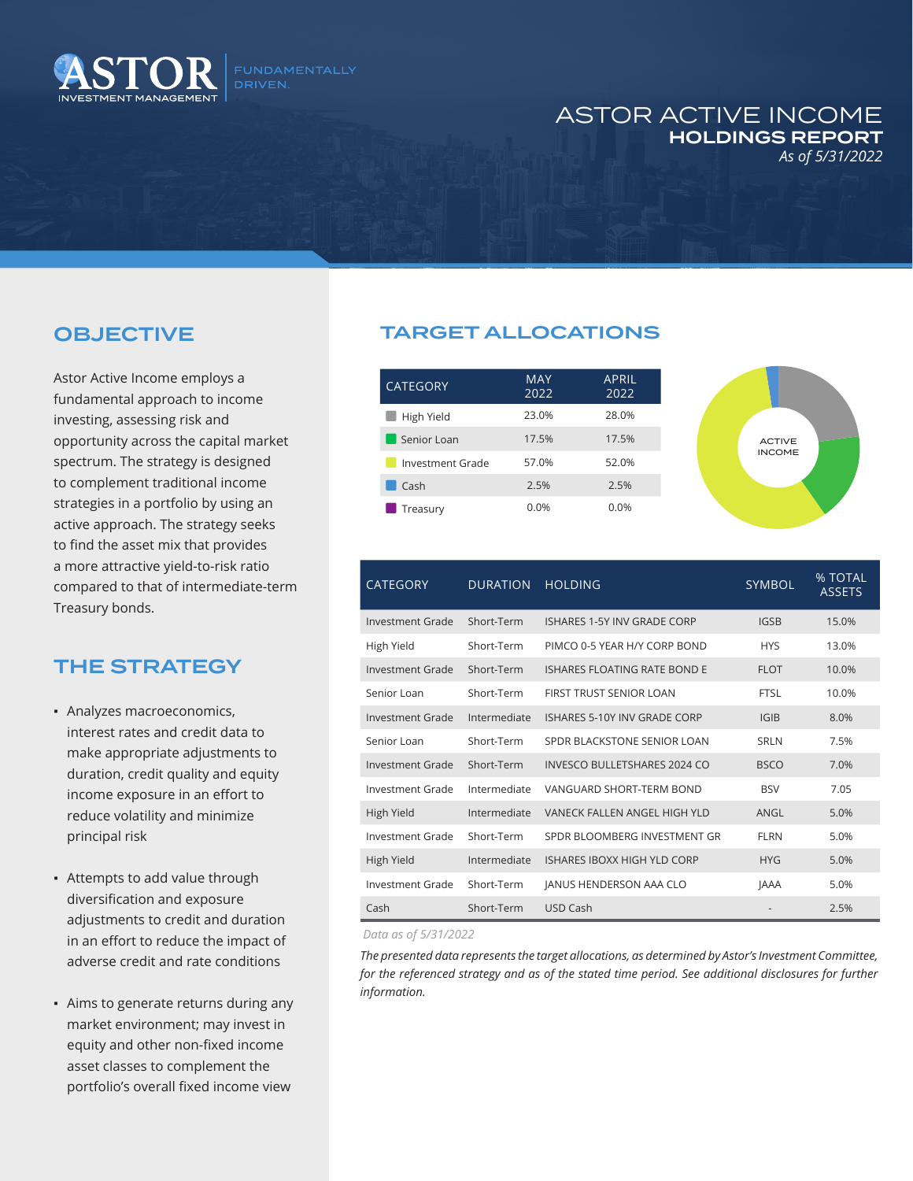

## ASTOR ACTIVE INCOME HOLDINGS REPORT *As of 5/31/2022*

## OBJECTIVE

Astor Active Income employs a fundamental approach to income investing, assessing risk and opportunity across the capital market spectrum. The strategy is designed to complement traditional income strategies in a portfolio by using an active approach. The strategy seeks to find the asset mix that provides a more attractive yield-to-risk ratio compared to that of intermediate-term Treasury bonds.

## THE STRATEGY

- Analyzes macroeconomics, interest rates and credit data to make appropriate adjustments to duration, credit quality and equity income exposure in an effort to reduce volatility and minimize principal risk
- Attempts to add value through diversification and exposure adjustments to credit and duration in an effort to reduce the impact of adverse credit and rate conditions
- Aims to generate returns during any market environment; may invest in equity and other non-fixed income asset classes to complement the portfolio's overall fixed income view

## TARGET ALLOCATIONS

| <b>CATEGORY</b>  | <b>MAY</b><br>2022 | <b>APRIL</b><br>2022 |
|------------------|--------------------|----------------------|
| High Yield       | 23.0%              | 28.0%                |
| Senior Loan      | 17.5%              | 17.5%                |
| Investment Grade | 57.0%              | 52.0%                |
| Cash             | 2.5%               | 2.5%                 |
| Treasury         | 0.0%               | 0.0%                 |



| <b>CATEGORY</b>  | <b>DURATION</b> | <b>HOLDING</b>                      | <b>SYMBOL</b> | % TOTAL<br><b>ASSETS</b> |
|------------------|-----------------|-------------------------------------|---------------|--------------------------|
| Investment Grade | Short-Term      | ISHARES 1-5Y INV GRADE CORP         | <b>IGSB</b>   | 15.0%                    |
| High Yield       | Short-Term      | PIMCO 0-5 YEAR H/Y CORP BOND        | <b>HYS</b>    | 13.0%                    |
| Investment Grade | Short-Term      | ISHARES ELOATING RATE BOND E        | <b>FLOT</b>   | 10.0%                    |
| Senior Loan      | Short-Term      | FIRST TRUST SENIOR LOAN             | <b>FTSL</b>   | 10.0%                    |
| Investment Grade | Intermediate    | ISHARES 5-10Y INV GRADE CORP        | IGIB          | 8.0%                     |
| Senior Loan      | Short-Term      | SPDR BLACKSTONE SENIOR LOAN         | SRLN          | 7.5%                     |
| Investment Grade | Short-Term      | <b>INVESCO BULLETSHARES 2024 CO</b> | <b>BSCO</b>   | 7.0%                     |
| Investment Grade | Intermediate    | VANGUARD SHORT-TERM BOND            | <b>BSV</b>    | 7.05                     |
| High Yield       | Intermediate    | VANECK FALLEN ANGEL HIGH YLD        | ANGL          | 5.0%                     |
| Investment Grade | Short-Term      | SPDR BLOOMBERG INVESTMENT GR        | <b>FLRN</b>   | 5.0%                     |
| High Yield       | Intermediate    | ISHARES IBOXX HIGH YLD CORP         | <b>HYG</b>    | 5.0%                     |
| Investment Grade | Short-Term      | <b>JANUS HENDERSON AAA CLO</b>      | <b>JAAA</b>   | 5.0%                     |
| Cash             | Short-Term      | <b>USD Cash</b>                     |               | 2.5%                     |

*Data as of 5/31/2022*

*The presented data represents the target allocations, as determined by Astor's Investment Committee,*  for the referenced strategy and as of the stated time period. See additional disclosures for further *information.*